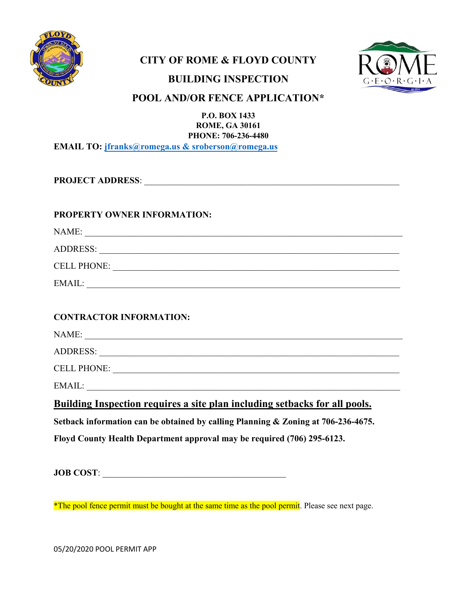

## **CITY OF ROME & FLOYD COUNTY**



## **BUILDING INSPECTION**

## **POOL AND/OR FENCE APPLICATION\***

**P.O. BOX 1433 ROME, GA 30161 PHONE: 706-236-4480 EMAIL TO: [jfranks@romega.us](mailto:jfranks@romega.us) & sroberson@romega.us** 

**PROJECT ADDRESS**: \_\_\_\_\_\_\_\_\_\_\_\_\_\_\_\_\_\_\_\_\_\_\_\_\_\_\_\_\_\_\_\_\_\_\_\_\_\_\_\_\_\_\_\_\_\_\_\_\_\_\_\_\_\_\_\_\_

#### **PROPERTY OWNER INFORMATION:**

NAME: \_\_\_\_\_\_\_\_\_\_\_\_\_\_\_\_\_\_\_\_\_\_\_\_\_\_\_\_\_\_\_\_\_\_\_\_\_\_\_\_\_\_\_\_\_\_\_\_\_\_\_\_\_\_\_\_\_\_\_\_\_\_\_\_\_\_\_\_\_\_\_

ADDRESS: \_\_\_\_\_\_\_\_\_\_\_\_\_\_\_\_\_\_\_\_\_\_\_\_\_\_\_\_\_\_\_\_\_\_\_\_\_\_\_\_\_\_\_\_\_\_\_\_\_\_\_\_\_\_\_\_\_\_\_\_\_\_\_\_\_\_\_

CELL PHONE: \_\_\_\_\_\_\_\_\_\_\_\_\_\_\_\_\_\_\_\_\_\_\_\_\_\_\_\_\_\_\_\_\_\_\_\_\_\_\_\_\_\_\_\_\_\_\_\_\_\_\_\_\_\_\_\_\_\_\_\_\_\_\_\_

EMAIL: \_\_\_\_\_\_\_\_\_\_\_\_\_\_\_\_\_\_\_\_\_\_\_\_\_\_\_\_\_\_\_\_\_\_\_\_\_\_\_\_\_\_\_\_\_\_\_\_\_\_\_\_\_\_\_\_\_\_\_\_\_\_\_\_\_\_\_\_\_\_

### **CONTRACTOR INFORMATION:**

| NAME:              |  |
|--------------------|--|
| <b>ADDRESS:</b>    |  |
| <b>CELL PHONE:</b> |  |
| EMAIL:             |  |

**Building Inspection requires a site plan including setbacks for all pools.**

**Setback information can be obtained by calling Planning & Zoning at 706-236-4675.** 

**Floyd County Health Department approval may be required (706) 295-6123.** 

**JOB COST:** 

<sup>\*</sup>The pool fence permit must be bought at the same time as the pool permit. Please see next page.